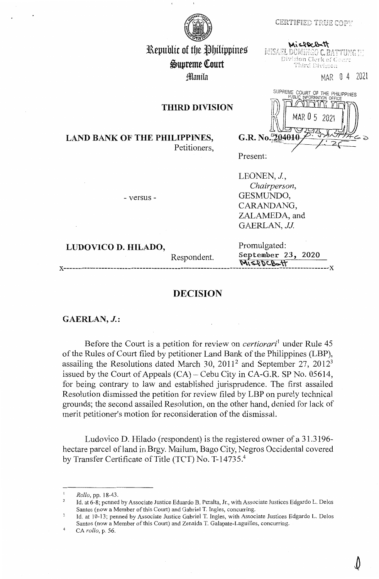## **CERTIFIED TRUE COPY**

Missocont MISAEL DOMINGO C. BATTUNG HE Division Clerk of Court Third Division

MAR O 4 2021



Republic of the Philippines ~upreme lourt **Manila** 

**THIRD DIVISION** 

SUPREME COURT OF THE PHILIPPINES 202 G.R. No.  $204010$ 

**LAND BANK OF THE PHILIPPINES,**  Petitioners,

- versus -

Present:

LEONEN, *J., Chairperson,*  GESMUNDO, CARANDANG, ZALAMEDA, and GAERLAN, *JJ.* 

 $M$  $s$ 

**LUDOVICO D. HILADO,** Promulgated:

Respondent. September 23, 2020

## **DECISION**

**GAERLAN, J.:** 

Before the Court is a petition for review on *certiorari*<sup>1</sup> under Rule 45 of the Rules of Court filed by petitioner Land Bank of the Philippines (LBP), assailing the Resolutions dated March 30,  $2011^2$  and September 27,  $2012^3$ issued by the Court of Appeals  $(CA)$  – Cebu City in CA-G.R. SP No. 05614, for being contrary to law and established jurisprudence. The first assailed Resolution dismissed the petition for review filed by LBP on purely technical grounds; the second assailed Resolution, on the other hand, denied for lack of merit petitioner's motion for reconsideration of the dismissal.

Ludovico D. Hilado (respondent) is the registered owner of a 31.3196 hectare parcel of land in Brgy. Mailum, Bago City, Negros Occidental covered by Transfer Certificate of Title (TCT) No. T-14735.<sup>4</sup>

 $\mathbf{I}$ *Rollo,* pp. 18-43.

<sup>2</sup>  Id. at 6-8; penned by Associate Justice Eduardo B. Peralta, Jr., with Associate Justices Edgardo L. Delos Santos (now a Member of this Court) and Gabriel T. Ingles, concurring.

 $\overline{\mathbf{3}}$ Id. at 10-13; penned by Associate Justice Gabriel T. Ingles, with Associate Justices Edgardo L. Delos Santos (now a Member of this Court) and Zenaida T. Galapate-Laguilles, concurring.

<sup>4</sup>  CA *rollo,* p. 56.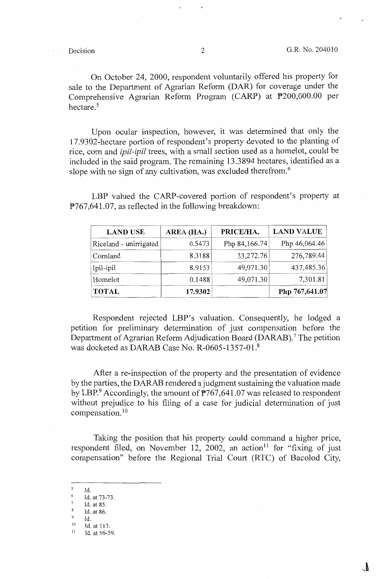On October 24, 2000, respondent voluntarily offered his property for sale to the Department of Agrarian Reform (DAR) for coverage under the Comprehensive Agrarian Reform Program (CARP) at P200,000.00 per hectare. <sup>5</sup>

Upon ocular inspection, however, it was determined that only the 17 .9302-hectare portion of respondent's property devoted to the planting of rice, com and *ipil-ipil* trees, with a small section used as a homelot, could be included in the said program. The remaining 13 .3 894 hectares, identified as a slope with no sign of any cultivation, was excluded therefrom.<sup>6</sup>

LBP valued the CARP-covered portion of respondent's property at P767,641.07, as reflected in the following breakdown:

| <b>LAND USE</b>        | AREA (HA.) | PRICE/HA.     | <b>LAND VALUE</b> |  |
|------------------------|------------|---------------|-------------------|--|
| Riceland - unirrigated | 0.5473     | Php 84,166.74 | Php 46,064.46     |  |
| Cornland               | 8.3188     | 33,272.76     | 276,789.44        |  |
| Ipil-ipil              | 8.9153     | 49,071.30     | 437,485.36        |  |
| Homelot                | 0.1488     | 49,071.30     | 7,301.81          |  |
| <b>TOTAL</b>           | 17.9302    |               | Php 767,641.07    |  |

Respondent rejected LBP's valuation. Consequently, he lodged a petition for preliminary determination of just compensation before the Department of Agrarian Reform Adjudication Board (DARAB).<sup>7</sup> The petition was docketed as DARAB Case No. R-0605-1357-01. <sup>8</sup>

After a re-inspection of the property and the presentation of evidence by the parties, the DARAB rendered a judgment sustaining the valuation made by LBP. Accordingly, the amount of  $P767,641.07$  was released to respondent without prejudice to his filing of a case for judicial determination of just compensation. 10

Taking the position that his property could command a higher price, respondent filed, on November 12, 2002, an action<sup>11</sup> for "fixing of just compensation" before the Regional Trial Court (RTC) of Bacolod City,

*5*  Id.

<sup>6</sup>  Id. at 73-73.

<sup>7</sup>  Id. at 85.

<sup>8</sup> Id. at 86.

<sup>9</sup>  Id.

 $10$  Id. at 113.

Id. at 56-59.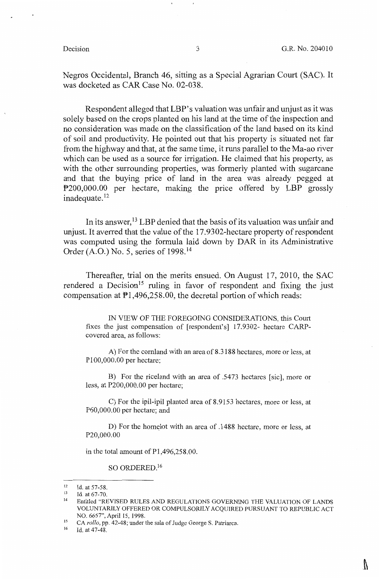Negros Occidental, Branch 46, sitting as a Special Agrarian Court (SAC). It was docketed as CAR Case No. 02-038.

Respondent alleged that LBP's valuation was unfair and unjust as it was solely based on the crops planted on his land at the time of the inspection and no consideration was made on the classification of the land based on its kind of soil and productivity. He pointed out that his property is situated not far from the highway and that, at the same time, it runs parallel to the Ma-ao river which can be used as a source for irrigation. He claimed that his property, as with the other surrounding properties, was formerly planted with sugarcane and that the buying price of land in the area was already pegged at P200,000.00 per hectare, making the price offered by LBP grossly inadequate.<sup>12</sup>

In its answer, 13 LBP denied that the basis of its valuation was unfair and unjust. It averred that the value of the 17.9302-hectare property of respondent was computed using the formula laid down by DAR in its Administrative Order (A.O.) No. 5, series of 1998. 14

Thereafter, trial on the merits ensued. On August 17, 2010, the SAC rendered a Decision<sup>15</sup> ruling in favor of respondent and fixing the just compensation at  $\mathbb{P}1,496,258.00$ , the decretal portion of which reads:

IN VIEW OF THE FOREGOING CONSIDERATIONS, this Court fixes the just compensation of [respondent's] 17.9302- hectare CARPcovered area, as follows:

A) For the cornland with an area of 8.3188 hectares, more or less, at Pl00,000.00 per hectare;

B) For the riceland with an area of .5473 hectares [sic], more or less, at P200,000.00 per hectare;

C) For the ipil-ipil planted area of 8.9153 hectares, more or less, at P60,000.00 per hectare; and

D) For the homelot with an area of .1488 hectare, more or less, at P20,000.00

in the total amount of Pl,496,258.00.

SO ORDERED. <sup>16</sup>

<sup>12</sup> Id. at 57-58.<br>13 Id. at 67-70.<br>14 Entitled "REVISED RULES AND REGULATIONS GOVERNING THE VALUATION OF LANDS VOLUNTARILY OFFERED OR COMPULSORILY ACQUIRED PURSUANT TO REPUBLIC ACT NO. 6657", April 15, 1998.<br>
CA *rollo*, pp. 42-48; under the sala of Judge George S. Patriarca.<br>
<sup>16</sup> Id. at 47.48

<sup>16</sup> Id. at 47-48.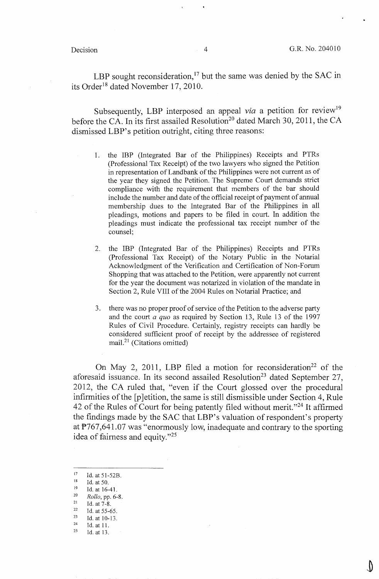LBP sought reconsideration,<sup>17</sup> but the same was denied by the SAC in its Order<sup>18</sup> dated November 17, 2010.

Subsequently, LBP interposed an appeal *via* a petition for review<sup>19</sup> before the CA. In its first assailed Resolution<sup>20</sup> dated March 30, 2011, the CA dismissed LBP's petition outright, citing three reasons:

- 1. the IBP (Integrated Bar of the Philippines) Receipts and PTRs (Professional Tax Receipt) of the two lawyers who signed the Petition in representation of Landbank of the Philippines were not current as of the year they signed the Petition. The Supreme Court demands strict compliance with the requirement that members of the bar should include the number and date of the official receipt of payment of annual membership dues to the Integrated Bar of the Philippines in all pleadings, motions and papers to be filed in court. In addition the pleadings must indicate the professional tax receipt number of the counsel;
- 2. the IBP (Integrated Bar of the Philippines) Receipts and PTRs (Professional Tax Receipt) of the Notary Public in the Notarial Acknowledgment of the Verification and Certification of Non-Forum Shopping that was attached to the Petition, were apparently not current for the year the document was notarized in violation of the mandate in Section 2, Rule VIII of the 2004 Rules on Notarial Practice; and
- 3. there was no proper proof of service of the Petition to the adverse party and the court *a quo* as required by Section 13, Rule 13 of the 1997 Rules of Civil Procedure. Certainly, registry receipts can hardly be considered sufficient proof of receipt by the addressee of registered mail. $^{21}$  (Citations omitted)

On May 2, 2011, LBP filed a motion for reconsideration<sup>22</sup> of the aforesaid issuance. In its second assailed Resolution<sup>23</sup> dated September 27, 2012, the CA ruled that, "even if the Court glossed over the procedural infirmities of the [p ]etition, the same is still dismissible under Section 4, Rule 42 of the Rules of Court for being patently filed without merit."<sup>24</sup> It affirmed the findings made by the SAC that LBP's valuation of respondent's property at P767,641.07 was "enormously low, inadequate and contrary to the sporting idea of fairness and equity."<sup>25</sup>

<sup>17</sup> Id. at 51-52B.<br>
<sup>18</sup> Id. at 16-41.<br>
<sup>20</sup> *Rollo*, pp. 6-8.<br>
<sup>21</sup> *Rollo*, pp. 6-8.<br>
<sup>21</sup> Id. at 7-8.<br>
<sup>22</sup> Id. at 55-65.<br>
<sup>24</sup> Id. at 10-13.<br>
<sup>24</sup> Id. at 11.<br>
<sup>25</sup> Id. at 13.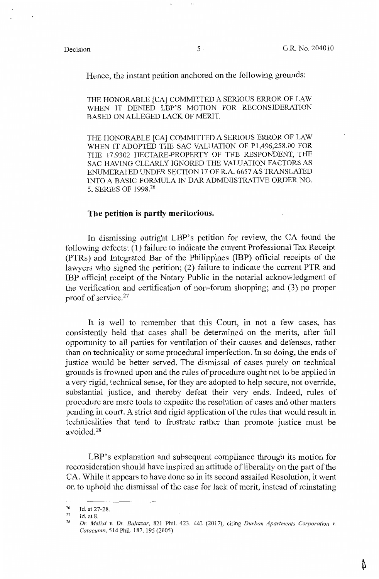Δ

Hence, the instant petition anchored on the following grounds:

THE HONORABLE [CA] COMMITTED A SERIOUS ERROR OF LAW WHEN IT DENIED LBP'S MOTION FOR RECONSIDERATION BASED ON ALLEGED LACK OF MERIT.

THE HONORABLE [CA] COMMITTED A SERIOUS ERROR OF LAW WHEN IT ADOPTED THE SAC VALUATION OF Pl,496,258.00 FOR THE 17.9302 HECTARE-PROPERTY OF THE RESPONDENT, THE SAC HAVING CLEARLY IGNORED THE VALUATION FACTORS AS ENUMERATED UNDER SECTION 17 OF R.A. 6657 AS TRANSLATED INTO A BASIC FORMULA IN DAR ADMINISTRATIVE ORDER NO. 5, SERIES OF 1998.<sup>26</sup>

### **The petition is partly meritorious.**

In dismissing outright LBP's petition for review, the CA found the following defects: (1) failure to indicate the current Professional Tax Receipt (PTRs) and Integrated Bar of the Philippines (IBP) official receipts of the lawyers who signed the petition; (2) failure to indicate the current PTR and IBP official receipt of the Notary Public in the notarial acknowledgment of the verification and certification of non-forum shopping; and (3) no proper proof of service.27

It is well to remember that this Court, in not a few cases, has consistently held that cases shall be determined on the merits, after full opportunity to all parties for ventilation of their causes and defenses, rather than on technicality or some procedural imperfection. In so doing, the ends of justice would be better served. The dismissal of cases purely on technical grounds is frowned upon and the rules of procedure ought not to be applied in a very rigid, technical sense, for they are adopted to help secure, not override, substantial justice, and thereby defeat their very ends. Indeed, rules of procedure are mere tools to expedite the resolution of cases and other matters pending in court. A strict and rigid application of the rules that would result in technicalities that tend to frustrate rather than promote justice must be avoided.28

LBP's explanation and subsequent compliance through its motion for reconsideration should have inspired an attitude of liberality on the part of the CA. While it appears to have done so in its second assailed Resolution, it went on to uphold the dismissal of the case for lack of merit, instead of reinstating

 $\frac{26}{27}$  Id. at 27-28.

<sup>&</sup>lt;sup>27</sup> Id. at 8.<br><sup>28</sup> *Dr. Malixi v. Dr. Baltazar*, 821 Phil. 423, 442 (2017), citing *Durban Apartments Corporation v. Catacutan, 514 Phil. 187, 195 (2005).*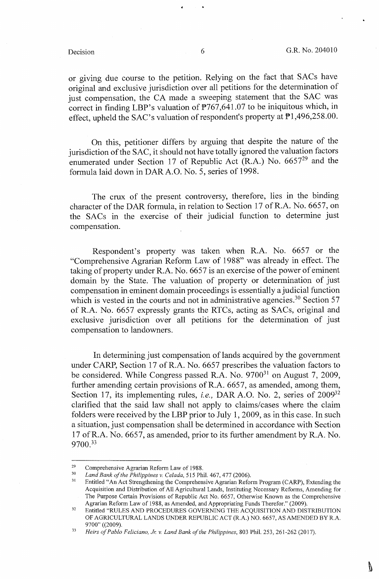V

or giving due course to the petition. Relying on the fact that SACs have original and exclusive jurisdiction over all petitions for the determination of just compensation, the CA made a sweeping statement that the SAC was correct in finding LBP's valuation of P767,641.07 to be iniquitous which, in effect, upheld the SAC's valuation of respondent's property at P1,496,258.00.

On this, petitioner differs by arguing that despite the nature of the jurisdiction of the SAC, it should not have totally ignored the valuation factors enumerated under Section 17 of Republic Act (R.A.) No. 665729 and the formula laid down in DAR A.O. No. 5, series of 1998.

The crux of the present controversy, therefore, lies in the binding character of the DAR formula, in relation to Section 17 of R.A. No. 6657, on the SACs in the exercise of their judicial function to determine just compensation.

Respondent's property was taken when R.A. No. 6657 or the "Comprehensive Agrarian Reform Law of 1988" was already in effect. The taking of property under R.A. No. 6657 is an exercise of the power of eminent domain by the State. The valuation of property or determination of just compensation in eminent domain proceedings is essentially a judicial function which is vested in the courts and not in administrative agencies.<sup>30</sup> Section 57 of R.A. No. 6657 expressly grants the RTCs, acting as SACs, original and exclusive jurisdiction over all petitions for the determination of just compensation to landowners.

In determining just compensation of lands acquired by the government under CARP, Section 17 of R.A. No. 6657 prescribes the valuation factors to be considered. While Congress passed R.A. No. 9700<sup>31</sup> on August 7, 2009, further amending certain provisions of R.A. 6657, as amended, among them, Section 17, its implementing rules, *i.e.*, DAR A.O. No. 2, series of 2009<sup>32</sup> clarified that the said law shall not apply to claims/cases where the claim folders were received by the LBP prior to July 1, 2009, as in this case. In such a situation, just compensation shall be determined in accordance with Section 17 ofR.A. No. 6657, as amended, prior to its further amendment by R.A. No. 9700.<sup>33</sup>

<sup>&</sup>lt;sup>29</sup> Comprehensive Agrarian Reform Law of 1988.<br><sup>30</sup> *Land Bank of the Philippines v. Celada*, 515 Phil. 467, 477 (2006).<br><sup>31</sup> Entitled "An Act Strengthening the Comprehensive Agrarian Reform Program (CARP), Extending the Acquisition and Distribution of All Agricultural Lands, Instituting Necessary Reforms, Amending for The Purpose Certain Provisions of Republic Act No. 6657, Otherwise Known as the Comprehensive

Agrarian Reform Law of 1988, as Amended, and Appropriating Funds Therefor." (2009).<br><sup>32</sup> Entitled "RULES AND PROCEDURES GOVERNING THE ACQUISITION AND DISTRIBUTION OF AGRICULTURAL LANDS UNDER REPUBLIC ACT (R.A.) NO. 6657, AS AMENDED BY R.A.

<sup>9700&</sup>quot; ((2009). 33 *Heirs of Pablo Feliciano, Jr. v. Land Bank of the Philippines,* 803 Phil. 253, 261-262 (2017).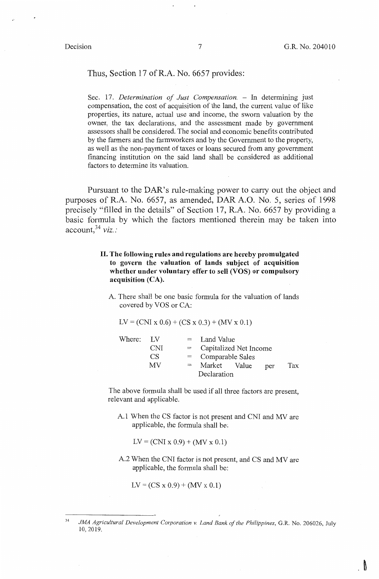$\mathbb{R}^n$ 

### Thus, Section 17 of R.A. No. 6657 provides:

Sec. 17. *Determination of Just Compensation.* - In determining just compensation, the cost of acquisition of the land, the current value of like properties, its nature, actual use and income, the sworn valuation by the owner, the tax declarations, and the assessment made by government assessors shall be considered. The social and economic benefits contributed by the farmers and the farmworkers and by the Government to the property, as well as the non-payment of taxes or loans secured from any government financing institution on the said land shall be considered as additional factors to determine its valuation.

Pursuant to the DAR's rule-making power to carry out the object and purposes of R.A. No. 6657, as amended, DAR A.O. No. 5, series of 1998 precisely "filled in the details" of Section 17, R.A. No. 6657 by providing a basic formula by which the factors mentioned therein may be taken into account,<sup>34</sup>*viz.:* 

> II. **The following rules and regulations are hereby promulgated to govern the valuation of lands subject of acquisition whether under voluntary offer to sell (VOS) or compulsory acquisition (CA).**

A. There shall be one basic formula for the valuation of lands covered by VOS or CA:

$$
LV = (CNI x 0.6) + (CS x 0.3) + (MV x 0.1)
$$

| Where: LV |            | $=$         | Land Value             |  |     |     |  |
|-----------|------------|-------------|------------------------|--|-----|-----|--|
|           | <b>CNI</b> | $=$         | Capitalized Net Income |  |     |     |  |
|           | CS         |             | $=$ Comparable Sales   |  |     |     |  |
|           | МV         | $=$         | Market Value           |  | per | Tax |  |
|           |            | Declaration |                        |  |     |     |  |

The above formula shall be used if all three factors are present, relevant and applicable.

A. I When the CS factor is not present and CNI and MV are applicable, the formula shall be:

 $LV = (CNI \times 0.9) + (MV \times 0.1)$ 

A.2 When the CNI factor is not present, and CS and MV are applicable, the formula shall be:

 $LV = (CS x 0.9) + (MV x 0.1)$ 

<sup>34</sup>  JMA Agricultural Development Corporation v. Land Bank of the Philippines, G.R. No. 206026, July 10, 2019.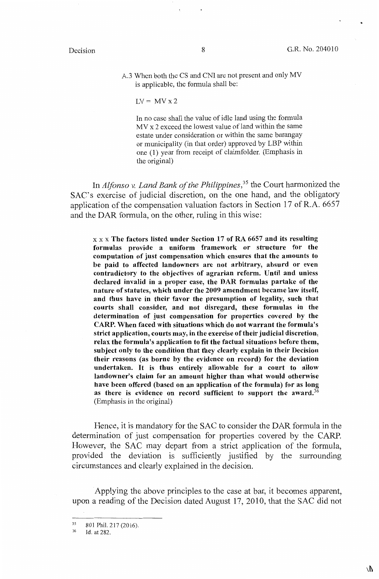..

A.3 When both the CS and CNI are not present and only MV is applicable, the formula shall be:

$$
LV = MV x 2
$$

In no case shall the value of idle land using the formula  $MV x 2 exceed the lowest value of land within the same$ estate under consideration or within the same barangay or municipality (in that order) approved by LBP within one (1) year from receipt of claimfolder. (Emphasis in the original)

In *Alfonso v. Land Bank of the Philippines,35* the Court harmonized the SAC's exercise of judicial discretion, on the one hand, and the obligatory application of the compensation valuation factors in Section 17 of R.A. 6657 and the DAR formula, on the other, ruling in this wise:

x x x **The factors listed under Section 17 of RA 6657 and its resulting formulas provide a uniform framework or structure for the computation of just compensation which ensures that the amounts to be paid to affected landowners are not arbitrary, absurd or even contradictory to the objectives of agrarian reform. Until and unless declared invalid in a proper case, the DAR formulas partake of the nature of statutes, which under the 2009 amendment became law itself, and thus have in their favor the presumption of legality, such that courts shall consider, and not disregard, these formulas in the determination of just compensation for properties covered by the CARP. When faced with situations which do not warrant the formula's strict application, courts may, in the exercise of their judicial discretion, relax the formula's application to fit the factual situations before them, subject only to the condition that they clearly explain in their Decision their reasons (as borne by the evidence on record) for the deviation undertaken.** It **is thus entirely allowable for a court to allow landowner's claim for an amount higher than what would otherwise have been offered (based on an application of the formula) for as long as there** is **evidence on record sufficient to support the award.<sup>36</sup>** (Emphasis in the original)

Hence, it is mandatory for the SAC to consider the DAR formula in the determination of just compensation for properties covered by the CARP. However, the SAC may depart from a strict application of the formula, provided the deviation is sufficiently justified by the surrounding circumstances and clearly explained in the decision.

Applying the above principles to the case at bar, it becomes apparent, upon a reading of the Decision dated August 17, 2010, that the SAC did not

<sup>35</sup>  801 Phil. 217 (2016).

<sup>36</sup>  Id. at 282.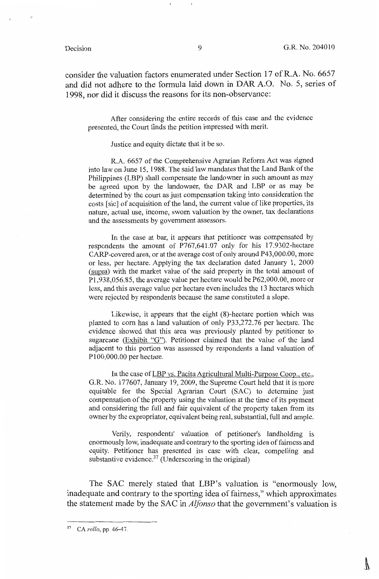consider the valuation factors enumerated under Section 17 ofR.A. No. 6657 and did not adhere to the formula laid down in DAR A.O. No. 5, series of 1998, nor did it discuss the reasons for its non-observance:

After considering the entire records of this case and the evidence presented, the Court finds the petition impressed with merit.

Justice and equity dictate that it be so.

R.A. 6657 of the Comprehensive Agrarian Reform Act was signed into law on June 15, 1988. The said law mandates that the Land Bank of the Philippines (LBP) shall compensate the landowner in such amount as may be agreed upon by the landowner, the DAR and LBP or as may be determined by the court as just compensation taking into consideration the costs [sic] of acquisition of the land, the current value of like properties, its nature, actual use, income, sworn valuation by the owner, tax declarations and the assessments by government assessors.

In the case at bar, it appears that petitioner was compensated by respondents the amount of P767,641.07 only for his 17.9302-hectare CARP-covered area, or at the average cost of only around P43,000.00, more or less, per hectare. Applying the tax declaration dated January 1, 2000 (supra) with the market value of the said property in the total amount of Pl,938,056.85, the average value per hectare would be P62,000.00, more or less, and this average value per hectare even includes the 13 hectares which were rejected by respondents because the same constituted a slope.

Likewise, it appears that the eight (8)-hectare portion which was planted to corn has a land valuation of only P33,272.76 per hectare. The evidence showed that this area was previously planted by petitioner to sugarcane (Exhibit "G"). Petitioner claimed that the value of the land adjacent to this portion was assessed by respondents a land valuation of Pl00,000.00 per hectare.

In the case of LBP vs. Pacita Agricultural Multi-Purpose Coop., etc., G.R. No. 177607, January 19, 2009, the Supreme Court held that it is more equitable for the Special Agrarian Court (SAC) to determine just compensation of the property using the valuation at the time of its payment and considering the full and fair equivalent of the property taken from its owner by the expropriator, equivalent being real, substantial, full and ample.

Verily, respondents' valuation of petitioner's landholding is enormously low, inadequate and contrary to the sporting idea of fairness and equity. Petitioner has presented its case with clear, compelling and substantive evidence.<sup>37</sup> (Underscoring in the original)

The SAC merely stated that LBP's valuation is "enormously low, inadequate and contrary to the sporting idea of fairness," which approximates the statement made by the SAC in *Alfonso* that the government's valuation is

<sup>37</sup> CA *rollo,* pp. 46-47.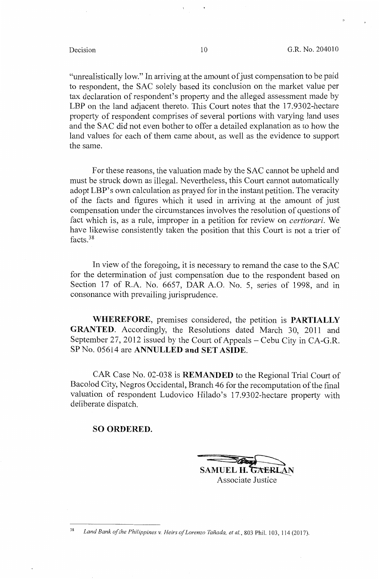"unrealistically low." In arriving at the amount of just compensation to be paid to respondent, the SAC solely based its conclusion on the market value per tax declaration of respondent's property and the alleged assessment made by LBP on the land adjacent thereto. This Court notes that the 17.9302-hectare property of respondent comprises of several portions with varying land uses and the SAC did not even bother to offer a detailed explanation as to how the land values for each of them came about, as well as the evidence to support the same.

For these reasons, the valuation made by the SAC cannot be upheld and must be struck down as illegal. Nevertheless, this Court cannot automatically adopt LBP's own calculation as prayed for in the instant petition. The veracity of the facts and figures which it used in arriving at the amount of just compensation under the circumstances involves the resolution of questions of fact which is, as a rule, improper in a petition for review on *certiorari.* We have likewise consistently taken the position that this Court is not a trier of facts. <sup>38</sup>

In view of the foregoing, it is necessary to remand the case to the SAC for the determination of just compensation due to the respondent based on Section 17 of R.A. No. 6657, DAR A.O. No. 5, series of 1998, and in consonance with prevailing jurisprudence.

**WHEREFORE,** premises considered, the petition is **PARTIALLY GRANTED.** Accordingly, the Resolutions dated March 30, 2011 and September 27, 2012 issued by the Court of Appeals – Cebu City in CA-G.R. SP No. 05614 are **ANNULLED and SET ASIDE.** 

CAR Case No. 02-038 is **REMANDED** to the Regional Trial Court of Bacolod City, Negros Occidental, Branch 46 for the recomputation of the final valuation of respondent Ludovico Hilado's 17.9302-hectare property with deliberate dispatch.

#### **SO ORDERED.**

SAMUEL H. G<sub>7</sub>

Associate Justice

<sup>38</sup>*Land Bank of the Philippines v. Heirs of Lorenzo Tanada, et al.,* 803 Phil. 103, 114 (2017).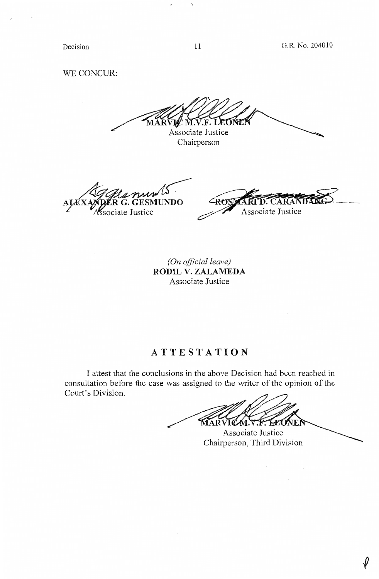Decision

# WE CONCUR:

LE M.V.F. LEONE Associate Justice

Chairperson

11

A Gele nun 15

∠ি শিক sociate Justice Associate Justice

*(On official leave)*  **RODIL V. ZALAMEDA**  Associate Justice

# **ATTESTATION**

I attest that the conclusions in the above Decision had been reached in consultation before the case was assigned to the writer of the opinion of the Court's Division.

**MARVICALLY FLEO** 

Associate Justice Chairperson, Third Division